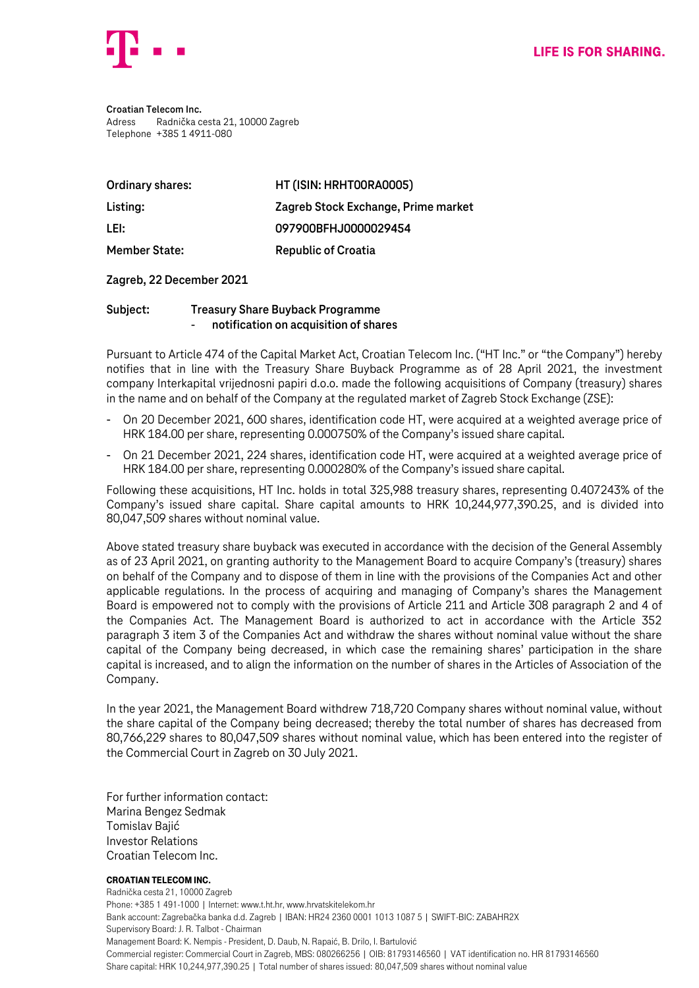

**Croatian Telecom Inc.** Adress Radnička cesta 21, 10000 Zagreb Telephone +385 1 4911-080

| Ordinary shares:     | HT (ISIN: HRHT00RA0005)             |
|----------------------|-------------------------------------|
| Listing:             | Zagreb Stock Exchange, Prime market |
| LEI:                 | 097900BFHJ0000029454                |
| <b>Member State:</b> | <b>Republic of Croatia</b>          |

### **Zagreb, 22 December 2021**

## **Subject: Treasury Share Buyback Programme** - **notification on acquisition of shares**

Pursuant to Article 474 of the Capital Market Act, Croatian Telecom Inc. ("HT Inc." or "the Company") hereby notifies that in line with the Treasury Share Buyback Programme as of 28 April 2021, the investment company Interkapital vrijednosni papiri d.o.o. made the following acquisitions of Company (treasury) shares in the name and on behalf of the Company at the regulated market of Zagreb Stock Exchange (ZSE):

- On 20 December 2021, 600 shares, identification code HT, were acquired at a weighted average price of HRK 184.00 per share, representing 0.000750% of the Company's issued share capital.
- On 21 December 2021, 224 shares, identification code HT, were acquired at a weighted average price of HRK 184.00 per share, representing 0.000280% of the Company's issued share capital.

Following these acquisitions, HT Inc. holds in total 325,988 treasury shares, representing 0.407243% of the Company's issued share capital. Share capital amounts to HRK 10,244,977,390.25, and is divided into 80,047,509 shares without nominal value.

Above stated treasury share buyback was executed in accordance with the decision of the General Assembly as of 23 April 2021, on granting authority to the Management Board to acquire Company's (treasury) shares on behalf of the Company and to dispose of them in line with the provisions of the Companies Act and other applicable regulations. In the process of acquiring and managing of Company's shares the Management Board is empowered not to comply with the provisions of Article 211 and Article 308 paragraph 2 and 4 of the Companies Act. The Management Board is authorized to act in accordance with the Article 352 paragraph 3 item 3 of the Companies Act and withdraw the shares without nominal value without the share capital of the Company being decreased, in which case the remaining shares' participation in the share capital is increased, and to align the information on the number of shares in the Articles of Association of the Company.

In the year 2021, the Management Board withdrew 718,720 Company shares without nominal value, without the share capital of the Company being decreased; thereby the total number of shares has decreased from 80,766,229 shares to 80,047,509 shares without nominal value, which has been entered into the register of the Commercial Court in Zagreb on 30 July 2021.

For further information contact: Marina Bengez Sedmak Tomislav Bajić Investor Relations Croatian Telecom Inc.

#### Croatian Telecom Inc.

Radnička cesta 21, 10000 Zagreb Phone: +385 1 491-1000 | Internet: www.t.ht.hr, www.hrvatskitelekom.hr Bank account: Zagrebačka banka d.d. Zagreb | IBAN: HR24 2360 0001 1013 1087 5 | SWIFT-BIC: ZABAHR2X Supervisory Board: J. R. Talbot - Chairman Management Board: K. Nempis - President, D. Daub, N. Rapaić, B. Drilo, I. Bartulović Commercial register: Commercial Court in Zagreb, MBS: 080266256 | OIB: 81793146560 | VAT identification no. HR 81793146560 Share capital: HRK 10,244,977,390.25 | Total number of shares issued: 80,047,509 shares without nominal value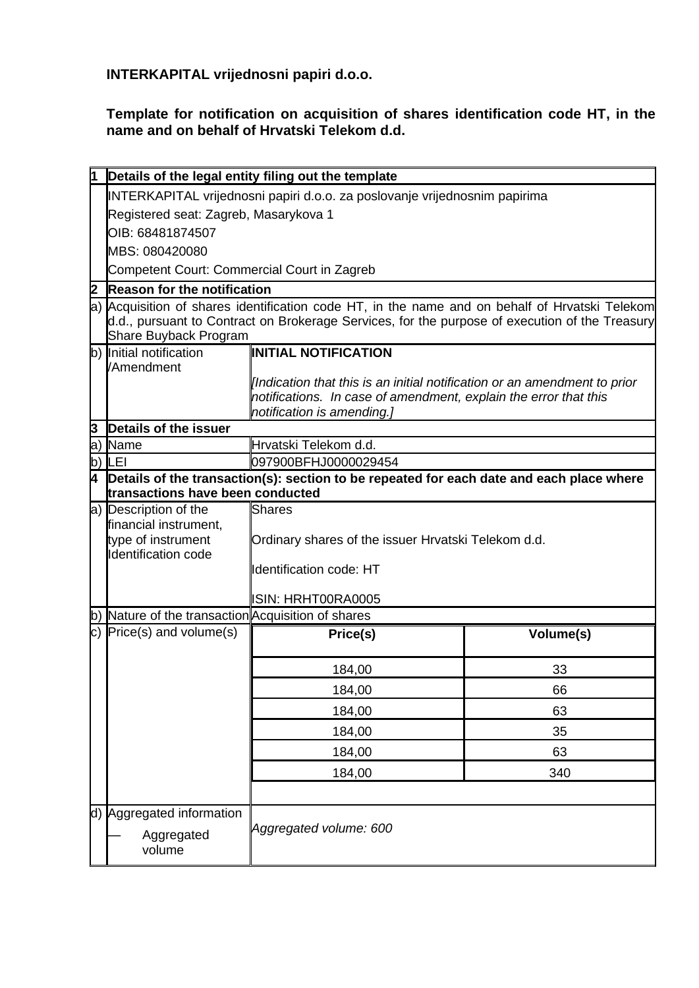**INTERKAPITAL vrijednosni papiri d.o.o.**

**Template for notification on acquisition of shares identification code HT, in the name and on behalf of Hrvatski Telekom d.d.**

| 1   |                                                                                                                                                                                                                           | Details of the legal entity filing out the template                                                                                                                         |           |  |  |
|-----|---------------------------------------------------------------------------------------------------------------------------------------------------------------------------------------------------------------------------|-----------------------------------------------------------------------------------------------------------------------------------------------------------------------------|-----------|--|--|
|     | INTERKAPITAL vrijednosni papiri d.o.o. za poslovanje vrijednosnim papirima                                                                                                                                                |                                                                                                                                                                             |           |  |  |
|     | Registered seat: Zagreb, Masarykova 1                                                                                                                                                                                     |                                                                                                                                                                             |           |  |  |
|     | OIB: 68481874507                                                                                                                                                                                                          |                                                                                                                                                                             |           |  |  |
|     | MBS: 080420080                                                                                                                                                                                                            |                                                                                                                                                                             |           |  |  |
|     | Competent Court: Commercial Court in Zagreb                                                                                                                                                                               |                                                                                                                                                                             |           |  |  |
| 2   | <b>Reason for the notification</b>                                                                                                                                                                                        |                                                                                                                                                                             |           |  |  |
|     | a) Acquisition of shares identification code HT, in the name and on behalf of Hrvatski Telekom<br>d.d., pursuant to Contract on Brokerage Services, for the purpose of execution of the Treasury<br>Share Buyback Program |                                                                                                                                                                             |           |  |  |
|     | b) Initial notification                                                                                                                                                                                                   | <b>INITIAL NOTIFICATION</b>                                                                                                                                                 |           |  |  |
|     | /Amendment                                                                                                                                                                                                                | [Indication that this is an initial notification or an amendment to prior<br>notifications. In case of amendment, explain the error that this<br>notification is amending.] |           |  |  |
| 3   | <b>Details of the issuer</b>                                                                                                                                                                                              |                                                                                                                                                                             |           |  |  |
| la) | Name                                                                                                                                                                                                                      | Hrvatski Telekom d.d.                                                                                                                                                       |           |  |  |
| b)  | LEI                                                                                                                                                                                                                       | 097900BFHJ0000029454                                                                                                                                                        |           |  |  |
| 4   |                                                                                                                                                                                                                           | Details of the transaction(s): section to be repeated for each date and each place where                                                                                    |           |  |  |
|     | transactions have been conducted                                                                                                                                                                                          |                                                                                                                                                                             |           |  |  |
|     | a) Description of the<br>financial instrument,<br>type of instrument<br><b>Identification code</b>                                                                                                                        | <b>Shares</b><br>Ordinary shares of the issuer Hrvatski Telekom d.d.<br>Identification code: HT<br><b>ISIN: HRHT00RA0005</b>                                                |           |  |  |
| b)  |                                                                                                                                                                                                                           | Nature of the transaction Acquisition of shares                                                                                                                             |           |  |  |
|     | $\overline{c}$ ) Price(s) and volume(s)                                                                                                                                                                                   | Price(s)                                                                                                                                                                    | Volume(s) |  |  |
|     |                                                                                                                                                                                                                           | 184,00                                                                                                                                                                      | 33        |  |  |
|     |                                                                                                                                                                                                                           | 184,00                                                                                                                                                                      | 66        |  |  |
|     |                                                                                                                                                                                                                           | 184,00                                                                                                                                                                      | 63        |  |  |
|     |                                                                                                                                                                                                                           | 184,00                                                                                                                                                                      | 35        |  |  |
|     |                                                                                                                                                                                                                           | 184,00                                                                                                                                                                      | 63        |  |  |
|     |                                                                                                                                                                                                                           | 184,00                                                                                                                                                                      | 340       |  |  |
|     |                                                                                                                                                                                                                           |                                                                                                                                                                             |           |  |  |
|     | d) Aggregated information<br>Aggregated<br>volume                                                                                                                                                                         | Aggregated volume: 600                                                                                                                                                      |           |  |  |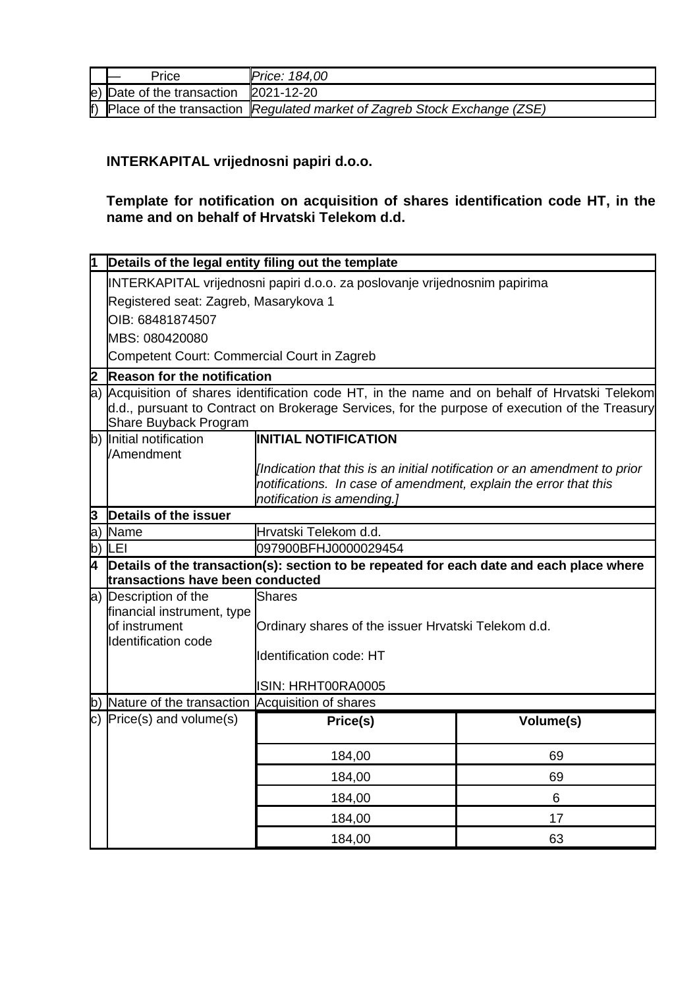| Price                                        | <b>Price: 184,00</b>                                                           |
|----------------------------------------------|--------------------------------------------------------------------------------|
| $ e $ Date of the transaction $ 2021-12-20 $ |                                                                                |
|                                              | $ f $ Place of the transaction Regulated market of Zagreb Stock Exchange (ZSE) |

# **INTERKAPITAL vrijednosni papiri d.o.o.**

## **Template for notification on acquisition of shares identification code HT, in the name and on behalf of Hrvatski Telekom d.d.**

|    | Details of the legal entity filing out the template                                                                                                                                                                       |                                                                                                                                               |           |  |
|----|---------------------------------------------------------------------------------------------------------------------------------------------------------------------------------------------------------------------------|-----------------------------------------------------------------------------------------------------------------------------------------------|-----------|--|
|    | INTERKAPITAL vrijednosni papiri d.o.o. za poslovanje vrijednosnim papirima                                                                                                                                                |                                                                                                                                               |           |  |
|    | Registered seat: Zagreb, Masarykova 1                                                                                                                                                                                     |                                                                                                                                               |           |  |
|    | OIB: 68481874507                                                                                                                                                                                                          |                                                                                                                                               |           |  |
|    | MBS: 080420080                                                                                                                                                                                                            |                                                                                                                                               |           |  |
|    | Competent Court: Commercial Court in Zagreb                                                                                                                                                                               |                                                                                                                                               |           |  |
| 2  | <b>Reason for the notification</b>                                                                                                                                                                                        |                                                                                                                                               |           |  |
|    | a) Acquisition of shares identification code HT, in the name and on behalf of Hrvatski Telekom<br>d.d., pursuant to Contract on Brokerage Services, for the purpose of execution of the Treasury<br>Share Buyback Program |                                                                                                                                               |           |  |
| b) | Initial notification                                                                                                                                                                                                      | <b>INITIAL NOTIFICATION</b>                                                                                                                   |           |  |
|    | /Amendment                                                                                                                                                                                                                |                                                                                                                                               |           |  |
|    |                                                                                                                                                                                                                           | [Indication that this is an initial notification or an amendment to prior<br>notifications. In case of amendment, explain the error that this |           |  |
|    |                                                                                                                                                                                                                           | notification is amending.]                                                                                                                    |           |  |
| 3  | Details of the issuer                                                                                                                                                                                                     |                                                                                                                                               |           |  |
| a) | Name                                                                                                                                                                                                                      | Hrvatski Telekom d.d.                                                                                                                         |           |  |
| b) | <b>ILEI</b>                                                                                                                                                                                                               | 097900BFHJ0000029454                                                                                                                          |           |  |
| 4  |                                                                                                                                                                                                                           | Details of the transaction(s): section to be repeated for each date and each place where                                                      |           |  |
|    | transactions have been conducted                                                                                                                                                                                          |                                                                                                                                               |           |  |
|    | a) Description of the                                                                                                                                                                                                     | Shares                                                                                                                                        |           |  |
|    | financial instrument, type<br>of instrument                                                                                                                                                                               | Ordinary shares of the issuer Hrvatski Telekom d.d.                                                                                           |           |  |
|    | <b>Identification code</b>                                                                                                                                                                                                |                                                                                                                                               |           |  |
|    |                                                                                                                                                                                                                           | <b>Identification code: HT</b>                                                                                                                |           |  |
|    |                                                                                                                                                                                                                           |                                                                                                                                               |           |  |
|    | Nature of the transaction Acquisition of shares                                                                                                                                                                           | ISIN: HRHT00RA0005                                                                                                                            |           |  |
| b) | c) $Price(s)$ and volume(s)                                                                                                                                                                                               |                                                                                                                                               |           |  |
|    |                                                                                                                                                                                                                           | Price(s)                                                                                                                                      | Volume(s) |  |
|    |                                                                                                                                                                                                                           | 184,00                                                                                                                                        | 69        |  |
|    |                                                                                                                                                                                                                           |                                                                                                                                               | 69        |  |
|    |                                                                                                                                                                                                                           | 184,00                                                                                                                                        |           |  |
|    |                                                                                                                                                                                                                           | 184,00                                                                                                                                        | 6         |  |
|    |                                                                                                                                                                                                                           | 184,00                                                                                                                                        | 17        |  |
|    |                                                                                                                                                                                                                           | 184,00                                                                                                                                        | 63        |  |